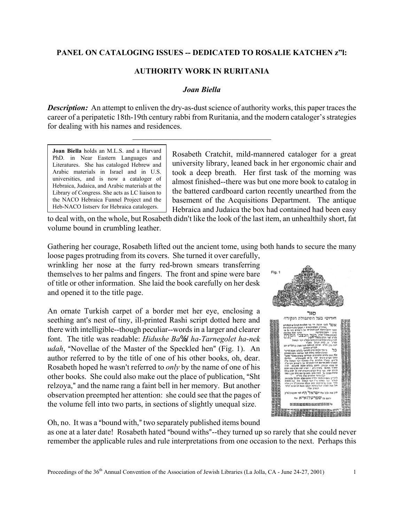## **PANEL ON CATALOGING ISSUES -- DEDICATED TO ROSALIE KATCHEN z"l:**

## **AUTHORITY WORK IN RURITANIA**

## *Joan Biella*

*Description:* An attempt to enliven the dry-as-dust science of authority works, this paper traces the career of a peripatetic 18th-19th century rabbi from Ruritania, and the modern cataloger's strategies for dealing with his names and residences.

\_\_\_\_\_\_\_\_\_\_\_\_\_\_\_\_\_\_\_\_\_\_\_\_\_\_\_\_\_\_\_\_\_\_\_

**Joan Biella** holds an M.L.S. and a Harvard PhD. in Near Eastern Languages and Literatures. She has cataloged Hebrew and Arabic materials in Israel and in U.S. universities, and is now a cataloger of Hebraica, Judaica, and Arabic materials at the Library of Congress. She acts as LC liaison to the NACO Hebraica Funnel Project and the Heb-NACO listserv for Hebraica catalogers.

Rosabeth Cratchit, mild-mannered cataloger for a great university library, leaned back in her ergonomic chair and took a deep breath. Her first task of the morning was almost finished--there was but one more book to catalog in the battered cardboard carton recently unearthed from the basement of the Acquisitions Department. The antique Hebraica and Judaica the box had contained had been easy

to deal with, on the whole, but Rosabeth didn't like the look of the last item, an unhealthily short, fat volume bound in crumbling leather.

Gathering her courage, Rosabeth lifted out the ancient tome, using both hands to secure the many

loose pages protruding from its covers. She turned it over carefully, wrinkling her nose at the furry red-brown smears transferring themselves to her palms and fingers. The front and spine were bare of title or other information. She laid the book carefully on her desk and opened it to the title page.

An ornate Turkish carpet of a border met her eye, enclosing a seething ant's nest of tiny, ill-printed Rashi script dotted here and there with intelligible--though peculiar--words in a larger and clearer font. The title was readable: *H. idushe Ba*%*al ha-Tarnegolet ha-nek. udah*, "Novellae of the Master of the Speckled hen" (Fig. 1). An author referred to by the title of one of his other books, oh, dear. Rosabeth hoped he wasn't referred to *only* by the name of one of his other books. She could also make out the place of publication, "Sht. relzoya," and the name rang a faint bell in her memory. But another observation preempted her attention: she could see that the pages of the volume fell into two parts, in sections of slightly unequal size.



Oh, no. It was a "bound with," two separately published items bound

as one at a later date! Rosabeth hated "bound withs"--they turned up so rarely that she could never remember the applicable rules and rule interpretations from one occasion to the next. Perhaps this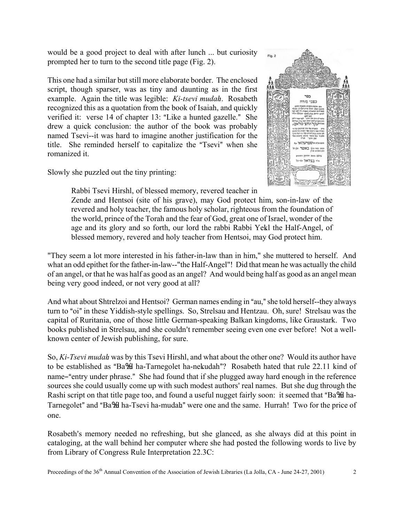would be a good project to deal with after lunch ... but curiosity prompted her to turn to the second title page (Fig. 2).

This one had a similar but still more elaborate border. The enclosed script, though sparser, was as tiny and daunting as in the first example. Again the title was legible: *Ki-tsevi mudah.*. Rosabeth recognized this as a quotation from the book of Isaiah, and quickly verified it: verse 14 of chapter 13: "Like a hunted gazelle." She drew a quick conclusion: the author of the book was probably named Tsevi--it was hard to imagine another justification for the title. She reminded herself to capitalize the "Tsevi" when she romanized it.

Slowly she puzzled out the tiny printing:



Rabbi Tsevi Hirshl, of blessed memory, revered teacher in

Zende and Hentsoi (site of his grave), may God protect him, son-in-law of the revered and holy teacher, the famous holy scholar, righteous from the foundation of the world, prince of the Torah and the fear of God, great one of Israel, wonder of the age and its glory and so forth, our lord the rabbi Rabbi Yekl the Half-Angel, of blessed memory, revered and holy teacher from Hentsoi, may God protect him.

"They seem a lot more interested in his father-in-law than in him," she muttered to herself. And what an odd epithet for the father-in-law--"the Half-Angel"! Did that mean he was actually the child of an angel, or that he was half as good as an angel? And would being half as good as an angel mean being very good indeed, or not very good at all?

And what about Shtrelzoi and Hentsoi? German names ending in "au," she told herself--they always turn to "oi" in these Yiddish-style spellings. So, Strelsau and Hentzau. Oh, sure! Strelsau was the capital of Ruritania, one of those little German-speaking Balkan kingdoms, like Graustark. Two books published in Strelsau, and she couldn't remember seeing even one ever before! Not a wellknown center of Jewish publishing, for sure.

So, *Ki-Tsevi mudah.* was by this Tsevi Hirshl, and what about the other one? Would its author have to be established as "Ba%al ha-Tarnegolet ha-nekudah"? Rosabeth hated that rule 22.11 kind of name-"entry under phrase." She had found that if she plugged away hard enough in the reference sources she could usually come up with such modest authors' real names. But she dug through the Rashi script on that title page too, and found a useful nugget fairly soon: it seemed that "Ba%al ha-Tarnegolet" and "Ba%al ha-Tsevi ha-mudah" were one and the same. Hurrah! Two for the price of one.

Rosabeth's memory needed no refreshing, but she glanced, as she always did at this point in cataloging, at the wall behind her computer where she had posted the following words to live by from Library of Congress Rule Interpretation 22.3C: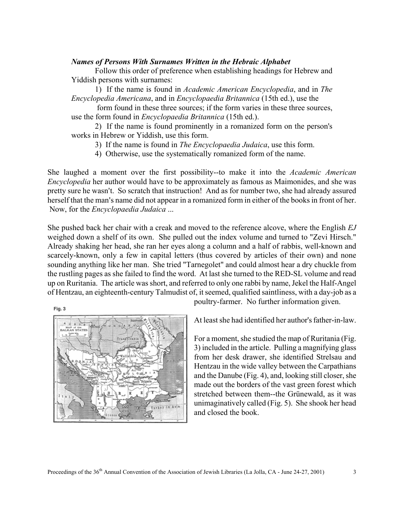## *Names of Persons With Surnames Written in the Hebraic Alphabet*

Follow this order of preference when establishing headings for Hebrew and Yiddish persons with surnames:

1) If the name is found in *Academic American Encyclopedia*, and in *The Encyclopedia Americana*, and in *Encyclopaedia Britannica* (15th ed.), use the

 form found in these three sources; if the form varies in these three sources, use the form found in *Encyclopaedia Britannica* (15th ed.).

2) If the name is found prominently in a romanized form on the person's works in Hebrew or Yiddish, use this form.

3) If the name is found in *The Encyclopaedia Judaica*, use this form.

4) Otherwise, use the systematically romanized form of the name.

She laughed a moment over the first possibility--to make it into the *Academic American Encyclopedia* her author would have to be approximately as famous as Maimonides, and she was pretty sure he wasn't. So scratch that instruction! And as for number two, she had already assured herself that the man's name did not appear in a romanized form in either of the books in front of her. Now, for the *Encyclopaedia Judaica* ...

She pushed back her chair with a creak and moved to the reference alcove, where the English *EJ* weighed down a shelf of its own. She pulled out the index volume and turned to "Zevi Hirsch." Already shaking her head, she ran her eyes along a column and a half of rabbis, well-known and scarcely-known, only a few in capital letters (thus covered by articles of their own) and none sounding anything like her man. She tried "Tarnegolet" and could almost hear a dry chuckle from the rustling pages as she failed to find the word. At last she turned to the RED-SL volume and read up on Ruritania. The article was short, and referred to only one rabbi by name, Jekel the Half-Angel of Hentzau, an eighteenth-century Talmudist of, it seemed, qualified saintliness, with a day-job as a

Fig. 3



poultry-farmer. No further information given.

At least she had identified her author's father-in-law.

For a moment, she studied the map of Ruritania (Fig. 3) included in the article. Pulling a magnifying glass from her desk drawer, she identified Strelsau and Hentzau in the wide valley between the Carpathians and the Danube (Fig. 4), and, looking still closer, she made out the borders of the vast green forest which stretched between them--the Grünewald, as it was unimaginatively called (Fig. 5). She shook her head and closed the book.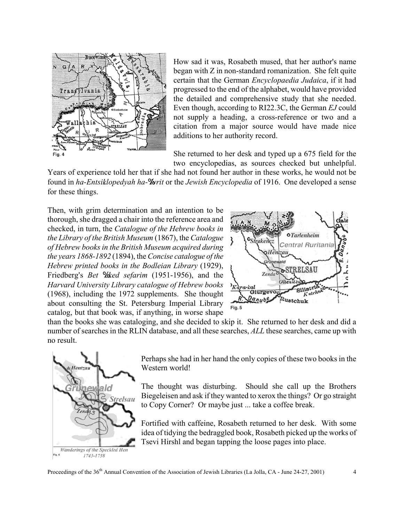

How sad it was, Rosabeth mused, that her author's name began with Z in non-standard romanization. She felt quite certain that the German *Encyclopaedia Judaica*, if it had progressed to the end of the alphabet, would have provided the detailed and comprehensive study that she needed. Even though, according to RI22.3C, the German *EJ* could not supply a heading, a cross-reference or two and a citation from a major source would have made nice additions to her authority record.

She returned to her desk and typed up a 675 field for the two encyclopedias, as sources checked but unhelpful.

Years of experience told her that if she had not found her author in these works, he would not be found in *ha-Entsiklopedyah ha-Yorit* or the *Jewish Encyclopedia* of 1916. One developed a sense for these things.

Then, with grim determination and an intention to be thorough, she dragged a chair into the reference area and checked, in turn, the *Catalogue of the Hebrew books in the Library of the British Museum* (1867), the *Catalogue of Hebrew books in the British Museum acquired during the years 1868-1892* (1894), the *Concise catalogue of the Hebrew printed books in the Bodleian Library* (1929), Friedberg's *Bet °kked sefarim* (1951-1956), and the *Harvard University Library catalogue of Hebrew books* (1968), including the 1972 supplements. She thought about consulting the St. Petersburg Imperial Library catalog, but that book was, if anything, in worse shape



than the books she was cataloging, and she decided to skip it. She returned to her desk and did a number of searches in the RLIN database, and all these searches, *ALL* these searches, came up with no result.



Perhaps she had in her hand the only copies of these two books in the Western world!

The thought was disturbing. Should she call up the Brothers Biegeleisen and ask if they wanted to xerox the things? Or go straight to Copy Corner? Or maybe just ... take a coffee break.

Fortified with caffeine, Rosabeth returned to her desk. With some idea of tidying the bedraggled book, Rosabeth picked up the works of Tsevi Hirshl and began tapping the loose pages into place.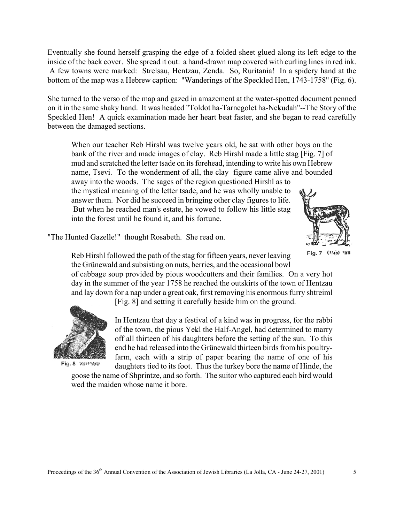Eventually she found herself grasping the edge of a folded sheet glued along its left edge to the inside of the back cover. She spread it out: a hand-drawn map covered with curling lines in red ink. A few towns were marked: Strelsau, Hentzau, Zenda. So, Ruritania! In a spidery hand at the bottom of the map was a Hebrew caption: "Wanderings of the Speckled Hen, 1743-1758" (Fig. 6).

She turned to the verso of the map and gazed in amazement at the water-spotted document penned on it in the same shaky hand. It was headed "Toldot ha-Tarnegolet ha-Nekudah"--The Story of the Speckled Hen! A quick examination made her heart beat faster, and she began to read carefully between the damaged sections.

When our teacher Reb Hirshl was twelve years old, he sat with other boys on the bank of the river and made images of clay. Reb Hirshl made a little stag [Fig. 7] of mud and scratched the letter tsade on its forehead, intending to write his own Hebrew name, Tsevi. To the wonderment of all, the clay figure came alive and bounded away into the woods. The sages of the region questioned Hirshl as to the mystical meaning of the letter tsade, and he was wholly unable to answer them. Nor did he succeed in bringing other clay figures to life. But when he reached man's estate, he vowed to follow his little stag into the forest until he found it, and his fortune.



"The Hunted Gazelle!" thought Rosabeth. She read on.

צבי (1/40) Fig. 7

Reb Hirshl followed the path of the stag for fifteen years, never leaving the Grünewald and subsisting on nuts, berries, and the occasional bowl

of cabbage soup provided by pious woodcutters and their families. On a very hot day in the summer of the year 1758 he reached the outskirts of the town of Hentzau and lay down for a nap under a great oak, first removing his enormous furry shtreiml

[Fig. 8] and setting it carefully beside him on the ground.



שטריימל Fig. 8

In Hentzau that day a festival of a kind was in progress, for the rabbi of the town, the pious Yekl the Half-Angel, had determined to marry off all thirteen of his daughters before the setting of the sun. To this end he had released into the Grünewald thirteen birds from his poultryfarm, each with a strip of paper bearing the name of one of his daughters tied to its foot. Thus the turkey bore the name of Hinde, the

goose the name of Shprintze, and so forth. The suitor who captured each bird would wed the maiden whose name it bore.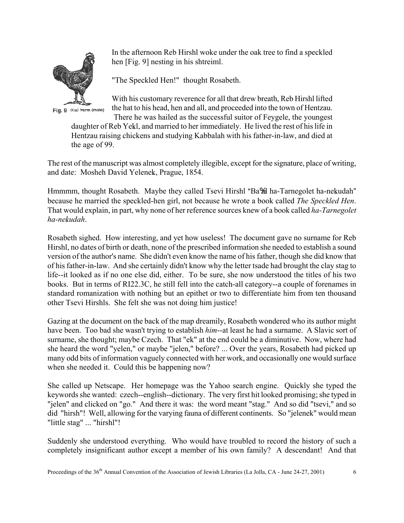

Fig. 9 (1/1s) חרנגול (male)

In the afternoon Reb Hirshl woke under the oak tree to find a speckled hen [Fig. 9] nesting in his shtreiml.

"The Speckled Hen!" thought Rosabeth.

With his customary reverence for all that drew breath, Reb Hirshl lifted the hat to his head, hen and all, and proceeded into the town of Hentzau. There he was hailed as the successful suitor of Feygele, the youngest

daughter of Reb Yekl, and married to her immediately. He lived the rest of his life in Hentzau raising chickens and studying Kabbalah with his father-in-law, and died at the age of 99.

The rest of the manuscript was almost completely illegible, except for the signature, place of writing, and date: Mosheh David Yelenek, Prague, 1854.

Hmmmm, thought Rosabeth. Maybe they called Tsevi Hirshl "Ba%al ha-Tarnegolet ha-nekudah" because he married the speckled-hen girl, not because he wrote a book called *The Speckled Hen*. That would explain, in part, why none of her reference sources knew of a book called *ha-Tarnegolet ha-nek.udah*.

Rosabeth sighed. How interesting, and yet how useless! The document gave no surname for Reb Hirshl, no dates of birth or death, none of the prescribed information she needed to establish a sound version of the author's name. She didn't even know the name of his father, though she did know that of his father-in-law. And she certainly didn't know why the letter tsade had brought the clay stag to life--it looked as if no one else did, either. To be sure, she now understood the titles of his two books. But in terms of RI22.3C, he still fell into the catch-all category--a couple of forenames in standard romanization with nothing but an epithet or two to differentiate him from ten thousand other Tsevi Hirshls. She felt she was not doing him justice!

Gazing at the document on the back of the map dreamily, Rosabeth wondered who its author might have been. Too bad she wasn't trying to establish *him*--at least he had a surname. A Slavic sort of surname, she thought; maybe Czech. That "ek" at the end could be a diminutive. Now, where had she heard the word "yelen," or maybe "jelen," before? ... Over the years, Rosabeth had picked up many odd bits of information vaguely connected with her work, and occasionally one would surface when she needed it. Could this be happening now?

She called up Netscape. Her homepage was the Yahoo search engine. Quickly she typed the keywords she wanted: czech--english--dictionary. The very first hit looked promising; she typed in "jelen" and clicked on "go." And there it was: the word meant "stag." And so did "tsevi," and so did "hirsh"! Well, allowing for the varying fauna of different continents. So "jelenek" would mean "little stag" ... "hirshl"!

Suddenly she understood everything. Who would have troubled to record the history of such a completely insignificant author except a member of his own family? A descendant! And that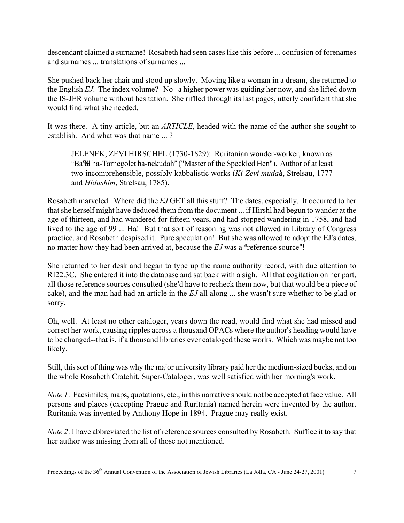descendant claimed a surname! Rosabeth had seen cases like this before ... confusion of forenames and surnames ... translations of surnames ...

She pushed back her chair and stood up slowly. Moving like a woman in a dream, she returned to the English *EJ*. The index volume? No--a higher power was guiding her now, and she lifted down the IS-JER volume without hesitation. She riffled through its last pages, utterly confident that she would find what she needed.

It was there. A tiny article, but an *ARTICLE*, headed with the name of the author she sought to establish. And what was that name ... ?

JELENEK, ZEVI HIRSCHEL (1730-1829): Ruritanian wonder-worker, known as "Ba%al ha-Tarnegolet ha-nekudah" ("Master of the Speckled Hen"). Author of at least two incomprehensible, possibly kabbalistic works (*Ki-Zevi mudah*, Strelsau, 1777 and *Hidushim*, Strelsau, 1785).

Rosabeth marveled. Where did the *EJ* GET all this stuff? The dates, especially. It occurred to her that she herself might have deduced them from the document ... if Hirshl had begun to wander at the age of thirteen, and had wandered for fifteen years, and had stopped wandering in 1758, and had lived to the age of 99 ... Ha! But that sort of reasoning was not allowed in Library of Congress practice, and Rosabeth despised it. Pure speculation! But she was allowed to adopt the EJ's dates, no matter how they had been arrived at, because the *EJ* was a "reference source"!

She returned to her desk and began to type up the name authority record, with due attention to RI22.3C. She entered it into the database and sat back with a sigh. All that cogitation on her part, all those reference sources consulted (she'd have to recheck them now, but that would be a piece of cake), and the man had had an article in the  $EJ$  all along  $\ldots$  she wasn't sure whether to be glad or sorry.

Oh, well. At least no other cataloger, years down the road, would find what she had missed and correct her work, causing ripples across a thousand OPACs where the author's heading would have to be changed--that is, if a thousand libraries ever cataloged these works. Which was maybe not too likely.

Still, this sort of thing was why the major university library paid her the medium-sized bucks, and on the whole Rosabeth Cratchit, Super-Cataloger, was well satisfied with her morning's work.

*Note 1*: Facsimiles, maps, quotations, etc., in this narrative should not be accepted at face value. All persons and places (excepting Prague and Ruritania) named herein were invented by the author. Ruritania was invented by Anthony Hope in 1894. Prague may really exist.

*Note 2*: I have abbreviated the list of reference sources consulted by Rosabeth. Suffice it to say that her author was missing from all of those not mentioned.